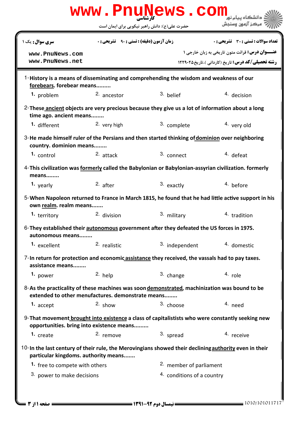| www.PnuNews.com                                                                                                                                   |                                                    |                                    |                                                                                                                    |  |  |  |
|---------------------------------------------------------------------------------------------------------------------------------------------------|----------------------------------------------------|------------------------------------|--------------------------------------------------------------------------------------------------------------------|--|--|--|
|                                                                                                                                                   | حضرت علی(ع): دانش راهبر نیکویی برای ایمان است      |                                    | مركز آزمون وسنجش                                                                                                   |  |  |  |
| <b>سری سوال :</b> یک ۱                                                                                                                            | <b>زمان آزمون (دقیقه) : تستی : 90 ٪ تشریحی : 0</b> |                                    | <b>تعداد سوالات : تستی : 30 ٪ تشریحی : 0</b>                                                                       |  |  |  |
| www.PnuNews.com<br>www.PnuNews.net                                                                                                                |                                                    |                                    | <b>عنـــوان درس:</b> قرائت متون تاریخی به زبان خارجی ۱<br><b>رشته تحصیلی/کد درس:</b> تاریخ (کاردانی )،تاریخ۲۹۰۲۵ ۲ |  |  |  |
| 1-History is a means of disseminating and comprehending the wisdom and weakness of our<br>forebears. forebear means                               |                                                    |                                    |                                                                                                                    |  |  |  |
| 1. problem                                                                                                                                        | 2. ancestor                                        | 3. belief                          | 4. decision                                                                                                        |  |  |  |
| 2-These ancient objects are very precious because they give us a lot of information about a long<br>time ago. ancient means                       |                                                    |                                    |                                                                                                                    |  |  |  |
| 1. different                                                                                                                                      | 2. very high                                       | 3. complete                        | 4. very old                                                                                                        |  |  |  |
| 3-He made himself ruler of the Persians and then started thinking of dominion over neighboring<br>country. dominion means                         |                                                    |                                    |                                                                                                                    |  |  |  |
| 1. control                                                                                                                                        | $2.$ attack                                        | 3. connect                         | 4. defeat                                                                                                          |  |  |  |
| 4-This civilization was formerly called the Babylonian or Babylonian-assyrian civilization. formerly<br>means                                     |                                                    |                                    |                                                                                                                    |  |  |  |
| 1. yearly                                                                                                                                         | $2.$ after                                         | 3. exactly                         | 4. before                                                                                                          |  |  |  |
| 5-When Napoleon returned to France in March 1815, he found that he had little active support in his<br>own realm. realm means                     |                                                    |                                    |                                                                                                                    |  |  |  |
| 1. territory                                                                                                                                      | 2. division                                        | 3. military                        | <sup>4</sup> tradition                                                                                             |  |  |  |
| 6-They established their autonomous government after they defeated the US forces in 1975.<br>autonomous means                                     |                                                    |                                    |                                                                                                                    |  |  |  |
| 1. excellent                                                                                                                                      | <sup>2.</sup> realistic                            | 3. independent                     | 4. domestic                                                                                                        |  |  |  |
| 7-In return for protection and economic assistance they received, the vassals had to pay taxes.<br>assistance means                               |                                                    |                                    |                                                                                                                    |  |  |  |
| 1. power                                                                                                                                          | 2. help                                            | 3. change                          | 4. role                                                                                                            |  |  |  |
| 8-As the practicality of these machines was soon demonstrated, machinization was bound to be<br>extended to other menufactures. demonstrate means |                                                    |                                    |                                                                                                                    |  |  |  |
| 1. accept                                                                                                                                         | $2.$ show                                          | 3. choose                          | 4. need                                                                                                            |  |  |  |
| 9- That movement brought into existence a class of capitalistists who were constantly seeking new<br>opportunities. bring into existence means    |                                                    |                                    |                                                                                                                    |  |  |  |
| 1. create                                                                                                                                         | 2. remove                                          | 3. spread                          | 4. receive                                                                                                         |  |  |  |
| 10-In the last century of their rule, the Merovingians showed their declining authority even in their<br>particular kingdoms. authority means     |                                                    |                                    |                                                                                                                    |  |  |  |
| 1. free to compete with others                                                                                                                    |                                                    | <sup>2.</sup> member of parliament |                                                                                                                    |  |  |  |
| 3. power to make decisions                                                                                                                        |                                                    | 4. conditions of a country         |                                                                                                                    |  |  |  |
|                                                                                                                                                   |                                                    |                                    |                                                                                                                    |  |  |  |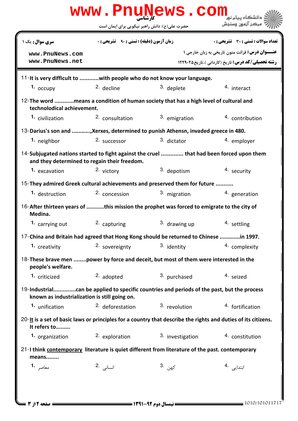| www.PnuNews.com                                                                                                                             |                                                  |                  |                                                                                                                                |  |  |  |
|---------------------------------------------------------------------------------------------------------------------------------------------|--------------------------------------------------|------------------|--------------------------------------------------------------------------------------------------------------------------------|--|--|--|
|                                                                                                                                             | حضرت علی(ع): دانش راهبر نیکویی برای ایمان است    |                  | مركز آزمون وسنجش                                                                                                               |  |  |  |
| سری سوال: یک ۱                                                                                                                              | <b>زمان آزمون (دقیقه) : تستی : ۹۰٪ تشریحی: 0</b> |                  | <b>تعداد سوالات : تستی : 30 ٪ تشریحی : 0</b>                                                                                   |  |  |  |
| www.PnuNews.com<br>www.PnuNews.net                                                                                                          |                                                  |                  | <b>عنـــوان درس:</b> قرائت متون تاریخی به زبان خارجی ۱<br><b>رشته تحصیلی/کد درس:</b> تاریخ (کاردانی )،تاریخ۲۹۰۲۵ <b>۱۲۲۹۰۲</b> |  |  |  |
| 11-It is very difficult to with people who do not know your language.                                                                       |                                                  |                  |                                                                                                                                |  |  |  |
| $1.$ occupy                                                                                                                                 | 2. decline                                       | 3. deplete       | 4. interact                                                                                                                    |  |  |  |
| 12- The word means a condition of human society that has a high level of cultural and<br>technolodical achievement.                         |                                                  |                  |                                                                                                                                |  |  |  |
| 1. civilization                                                                                                                             | 2. consultation                                  | 3. emigration    | 4. contribution                                                                                                                |  |  |  |
| 13-Darius's son and , Xerxes, determined to punish Athensn, invaded greece in 480.                                                          |                                                  |                  |                                                                                                                                |  |  |  |
| 1. neighbor                                                                                                                                 | 2. successor                                     | 3. dictator      | 4. employer                                                                                                                    |  |  |  |
| 14-Subjugated nations started to fight against the cruel  that had been forced upon them<br>and they determined to regain their freedom.    |                                                  |                  |                                                                                                                                |  |  |  |
| 1. excavation                                                                                                                               | 2. victory                                       | 3. depotism      | 4. security                                                                                                                    |  |  |  |
| 15-They admired Greek cultural achievements and preserved them for future                                                                   |                                                  |                  |                                                                                                                                |  |  |  |
| 1. destruction                                                                                                                              | <sup>2.</sup> concession                         | 3. migration     | 4. generation                                                                                                                  |  |  |  |
| 16-After thirteen years of this mission the prophet was forced to emigrate to the city of<br>Medina.                                        |                                                  |                  |                                                                                                                                |  |  |  |
| 1. carrying out                                                                                                                             | 2. capturing                                     | 3. drawing up    | 4. settling                                                                                                                    |  |  |  |
| 17-China and Britain had agreed that Hong Kong should be returned to Chinese in 1997.                                                       |                                                  |                  |                                                                                                                                |  |  |  |
| 1. creativity                                                                                                                               | 2. sovereignty                                   | 3. identity      | 4. complexity                                                                                                                  |  |  |  |
| 18-These brave men power by force and deceit, but most of them were interested in the<br>people's welfare.                                  |                                                  |                  |                                                                                                                                |  |  |  |
| 1. criticized                                                                                                                               | 2. adopted                                       | 3. purchased     | 4. seized                                                                                                                      |  |  |  |
| 19-Industrialcan be applied to specific countries and periods of the past, but the process<br>known as industrialization is still going on. |                                                  |                  |                                                                                                                                |  |  |  |
| 1. unification                                                                                                                              | <sup>2</sup> deforestation                       | 3. revolution    | 4. fortification                                                                                                               |  |  |  |
| $20$ -It is a set of basic laws or principles for a country that describe the rights and duties of its citizens.<br>It refers to            |                                                  |                  |                                                                                                                                |  |  |  |
| 1. organization                                                                                                                             | 2. exploration                                   | 3. investigation | 4. constitution                                                                                                                |  |  |  |
| 21-I think contemporary literature is quiet different from literature of the past. contemporary<br>means                                    |                                                  |                  |                                                                                                                                |  |  |  |
| <b>1.</b> معاصر                                                                                                                             | انسانی 2.                                        | 3. كىھن          | ابتدایی .4                                                                                                                     |  |  |  |
|                                                                                                                                             |                                                  |                  |                                                                                                                                |  |  |  |